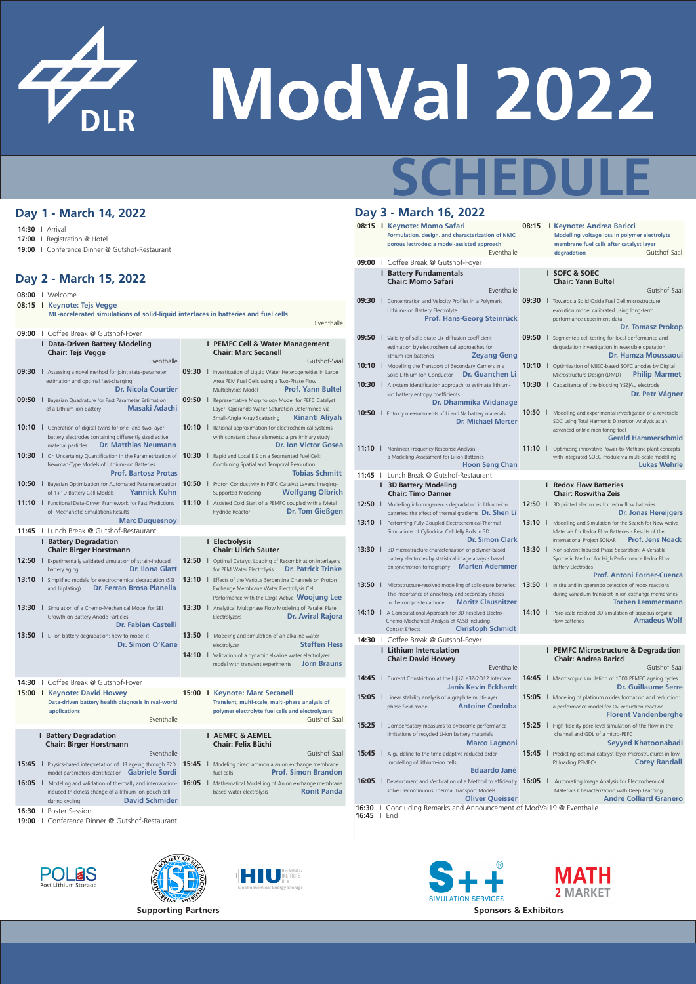**08:15 I Keynote: Andrea Baricci Modelling voltage loss in polymer electrolyte membrane fuel cells after catalyst layer degradation Gutshof-Saal** 

#### **SOFC & SOEC Chair: Yann Bultel**

**09:30** I Towards a Solid Oxide Fuel Cell microstructure evolution model calibrated using long-term performance experiment data

- **09:30** I Concentration and Velocity Profiles in a Polymeric Lithium-ion Battery Electrolyte **Prof. Hans-Georg Steinrück**
- **09:50** I Validity of solid-state Li+ diffusion coefficient
- 
- 
- 
- 
- -
- 
- 

**SIMULATION SERVICES** 

- **09:50** I Segmented cell testing for local performance and **Dr. Hamza Moussaoui**
- 10:10 | Optimization of MIEC-based SOFC anodes by Digital Microstructure Design (DMD) **Philip Marmet**
- **ner** 
	- mid
- 11:10 | Optimizing innovative Power-to-Methane plant concepts with integrated SOEC module via multi-scale modelling **hrle**

**MATH** 

**2 MARKET** 

**08:15 I Keynote: Momo Safari Formulation, design, and characterization of NMC porous lectrodes: a model-assisted approach** Eventhalle

#### **I Battery Fundamentals Chair: Momo Safari**

Eventhalle

Gutshof-Saal

#### **Dr. Tomasz Prokop**

- **Dr. Jonas Hereijgers**
	-



| <b>Data-Driven Battery Modeling</b>                                                                                                         | <b>PEMFC Cell &amp; Water Management</b>                                                                                  | UY.JU<br>Validity of solid-state LI+ diffusion coefficient                                                             | UY.JU<br>To Segmented cell testing for local performance and                                                          |
|---------------------------------------------------------------------------------------------------------------------------------------------|---------------------------------------------------------------------------------------------------------------------------|------------------------------------------------------------------------------------------------------------------------|-----------------------------------------------------------------------------------------------------------------------|
| <b>Chair: Tejs Vegge</b>                                                                                                                    | <b>Chair: Marc Secanell</b>                                                                                               | estimation by electrochemical approaches for<br><b>Zeyang Geng</b><br>lithium-ion batteries                            | degradation investigation in reversible operation<br><b>Dr. Hamza Moussaoui</b>                                       |
| Eventhalle                                                                                                                                  | Gutshof-Saal                                                                                                              | 10:10<br>Modelling the Transport of Secondary Carriers in a                                                            | 10:10<br>  Optimization of MIEC-based SOFC anodes by Digital                                                          |
| 09:30<br>Assessing a novel method for joint state-parameter<br>estimation and optimal fast-charging                                         | 09:30<br>Investigation of Liquid Water Heterogeneities in Large<br>Area PEM Fuel Cells using a Two-Phase Flow             | <b>Dr. Guanchen Li</b><br>Solid Lithium-Ion Conductor                                                                  | <b>Philip Marmet</b><br>Microstructure Design (DMD)                                                                   |
| <b>Dr. Nicola Courtier</b><br>09:50                                                                                                         | <b>Prof. Yann Bultel</b><br><b>Multiphysics Model</b><br>09:50                                                            | 10:30   A system identification approach to estimate lithium-<br>ion battery entropy coefficients                      | 10:30<br>Capacitance of the blocking YSZ Au electrode<br>Dr. Petr Vágner                                              |
| Bayesian Quadrature for Fast Parameter Estimation<br><b>Masaki Adachi</b><br>of a Lithium-ion Battery                                       | Representative Morphology Model for PEFC Catalyst<br>Layer: Operando Water Saturation Determined via                      | Dr. Dhammika Widanage                                                                                                  |                                                                                                                       |
|                                                                                                                                             | Kinanti Aliyah<br>Small-Angle X-ray Scattering                                                                            | 10:50<br>Entropy measurements of Li and Na battery materials<br><b>Dr. Michael Mercer</b>                              | 10:50<br>Modelling and experimental investigation of a reversible                                                     |
| 10:10<br>Generation of digital twins for one- and two-layer                                                                                 | 10:10<br>Rational approximation for electrochemical systems                                                               |                                                                                                                        | SOC using Total Harmonic Distortion Analysis as an<br>advanced online monitoring tool                                 |
| battery electrodes containing differently sized active                                                                                      | with constant phase elements: a preliminary study                                                                         |                                                                                                                        | <b>Gerald Hammerschmid</b>                                                                                            |
| <b>Dr. Matthias Neumann</b><br>material particles                                                                                           | <b>Dr. Ion Victor Gosea</b>                                                                                               | 11:10<br>Nonlinear Frequency Response Analysis -                                                                       | 11:10<br>Optimizing innovative Power-to-Methane plant concepts                                                        |
| 10:30<br>On Uncertainty Quantification in the Parametrization of                                                                            | 10:30<br>Rapid and Local EIS on a Segmented Fuel Cell:                                                                    | a Modelling Assessment for Li-ion Batteries                                                                            | with integrated SOEC module via multi-scale modelling                                                                 |
| Newman-Type Models of Lithium-Ion Batteries<br><b>Prof. Bartosz Protas</b>                                                                  | Combining Spatial and Temporal Resolution<br><b>Tobias Schmitt</b>                                                        | <b>Hoon Seng Chan</b>                                                                                                  | <b>Lukas Wehrle</b>                                                                                                   |
| 10:50<br>Bayesian Optimization for Automated Parameterization                                                                               | 10:50<br>Proton Conductivity in PEFC Catalyst Layers: Imaging-                                                            | Lunch Break @ Gutshof-Restaurant<br>11:45<br><b>3D Battery Modeling</b>                                                | <b>Redox Flow Batteries</b>                                                                                           |
| <b>Yannick Kuhn</b><br>of 1+1D Battery Cell Models                                                                                          | <b>Wolfgang Olbrich</b><br><b>Supported Modeling</b>                                                                      | <b>Chair: Timo Danner</b>                                                                                              | <b>Chair: Roswitha Zeis</b>                                                                                           |
| $11:10$  <br><b>Functional Data-Driven Framework for Fast Predictions</b><br>of Mechanistic Simulations Results                             | 11:10<br>Assisted Cold Start of a PEMFC coupled with a Metal<br><b>Dr. Tom Gießgen</b><br><b>Hydride Reactor</b>          | 12:50<br>Modelling inhomogeneous degradation in lithium-ion<br>batteries: the effect of thermal gradients Dr. Shen Li  | 12:50<br>3D printed electrodes for redox flow batteries<br><b>Dr. Jonas Hereijgers</b>                                |
| <b>Marc Duquesnoy</b>                                                                                                                       |                                                                                                                           | 13:10<br>Performing Fully-Coupled Electrochemical-Thermal                                                              | 13:10<br>Modelling and Simulation for the Search for New Active                                                       |
| Lunch Break @ Gutshof-Restaurant<br>11:45                                                                                                   |                                                                                                                           | Simulations of Cylindrical Cell Jelly Rolls in 3D                                                                      | Materials for Redox Flow Batteries - Results of the                                                                   |
| <b>Battery Degradation</b>                                                                                                                  | <b>Electrolysis</b>                                                                                                       | <b>Dr. Simon Clark</b>                                                                                                 | <b>Prof. Jens Noack</b><br>International Project SONAR                                                                |
| <b>Chair: Birger Horstmann</b>                                                                                                              | <b>Chair: Ulrich Sauter</b>                                                                                               | 13:30<br>3D microstructure characterization of polymer-based<br>battery electrodes by statistical image analysis based | 13:30<br>Non-solvent Induced Phase Separation: A Versatile<br>Synthetic Method for High Performance Redox Flow        |
| 12:50<br>Experimentally validated simulation of strain-induced<br><b>Dr. Ilona Glatt</b>                                                    | 12:50<br>Optimal Catalyst Loading of Recombination Interlayers<br><b>Dr. Patrick Trinke</b><br>for PEM Water Electrolysis | <b>Marten Ademmer</b><br>on synchrotron tomography                                                                     | <b>Battery Electrodes</b>                                                                                             |
| battery aging<br>13:10<br>Simplified models for electrochemical degradation (SEI                                                            | 13:10<br>Effects of the Various Serpentine Channels on Proton                                                             |                                                                                                                        | <b>Prof. Antoni Forner-Cuenca</b>                                                                                     |
| <b>Dr. Ferran Brosa Planella</b><br>and Li plating)                                                                                         | Exchange Membrane Water Electrolysis Cell                                                                                 | 13:50<br>Microstructure-resolved modelling of solid-state batteries:                                                   | 13:50<br>In situ and in operando detection of redox reactions                                                         |
|                                                                                                                                             | Performance with the Large Active Woojung Lee                                                                             | The importance of anisotropy and secondary phases<br><b>Moritz Clausnitzer</b><br>in the composite cathode             | during vanadium transport in ion exchange membranes<br>Torben Lemmermann                                              |
| 13:30<br>Simulation of a Chemo-Mechanical Model for SEI                                                                                     | 13:30<br>Analytical Multiphase Flow Modeling of Parallel Plate                                                            | 14:10<br>A Computational Approach for 3D Resolved Electro-                                                             | 14:10<br>Pore-scale resolved 3D simulation of aqueous organic                                                         |
| Growth on Battery Anode Particles                                                                                                           | <b>Dr. Aviral Rajora</b><br>Electrolyzers                                                                                 | Chemo-Mechanical Analysis of ASSB Including                                                                            | <b>Amadeus Wolf</b><br>flow batteries                                                                                 |
| Dr. Fabian Castelli                                                                                                                         |                                                                                                                           | <b>Christoph Schmidt</b><br><b>Contact Effects</b>                                                                     |                                                                                                                       |
| 13:50<br>Li-ion battery degradation: how to model it<br>Dr. Simon O'Kane                                                                    | 13:50<br>Modeling and simulation of an alkaline water<br><b>Steffen Hess</b><br>electrolyzer                              | 14:30   Coffee Break @ Gutshof-Foyer                                                                                   |                                                                                                                       |
|                                                                                                                                             | 14:10<br>Validation of a dynamic alkaline water electrolyzer                                                              | <b>Lithium Intercalation</b>                                                                                           | <b>PEMFC Microstructure &amp; Degradation</b>                                                                         |
|                                                                                                                                             | Jörn Brauns<br>model with transient experiments                                                                           | <b>Chair: David Howey</b>                                                                                              | <b>Chair: Andrea Baricci</b>                                                                                          |
|                                                                                                                                             |                                                                                                                           | Eventhalle                                                                                                             | Gutshof-Saal                                                                                                          |
| Coffee Break @ Gutshof-Foyer<br>$14:30$                                                                                                     |                                                                                                                           | 14:45   Current Constriction at the Li Li7La3Zr2O12 Interface<br><b>Janis Kevin Eckhardt</b>                           | 14:45<br>  Macroscopic simulation of 1000 PEMFC ageing cycles<br><b>Dr. Guillaume Serre</b>                           |
| 15:00   Keynote: David Howey                                                                                                                | 15:00   Keynote: Marc Secanell                                                                                            | 15:05<br>Linear stability analysis of a graphite multi-layer                                                           | <b>15:05</b><br>Modeling of platinum oxides formation and reduction:                                                  |
| Data-driven battery health diagnosis in real-world                                                                                          | Transient, multi-scale, multi-phase analysis of                                                                           | <b>Antoine Cordoba</b><br>phase field model                                                                            | a performance model for O2 reduction reaction                                                                         |
| applications<br>Eventhalle                                                                                                                  | polymer electrolyte fuel cells and electrolyzers<br>Gutshof-Saal                                                          |                                                                                                                        | <b>Florent Vandenberghe</b>                                                                                           |
|                                                                                                                                             |                                                                                                                           | 15:25<br>Compensatory measures to overcome performance                                                                 | 15:25   High-fidelity pore-level simulation of the flow in the                                                        |
| <b>Battery Degradation</b>                                                                                                                  | <b>AEMFC &amp; AEMEL</b>                                                                                                  | limitations of recycled Li-ion battery materials                                                                       | channel and GDL of a micro-PEFC                                                                                       |
| <b>Chair: Birger Horstmann</b>                                                                                                              | <b>Chair: Felix Büchi</b>                                                                                                 | <b>Marco Lagnoni</b>                                                                                                   | <b>Seyyed Khatoonabadi</b>                                                                                            |
| Eventhalle                                                                                                                                  | Gutshof-Saal                                                                                                              | 15:45<br>$\vert$ A guideline to the time-adaptive reduced order<br>modelling of lithium-ion cells                      | Predicting optimal catalyst layer microstructures in low<br><b>15:45</b><br><b>Corey Randall</b><br>Pt loading PEMFCs |
| Physics-based interpretation of LIB ageing through P2D $\overline{15:45}$<br>15:45<br>model parameters identification <b>Gabriele Sordi</b> | Modeling direct ammonia anion exchange membrane<br><b>Prof. Simon Brandon</b><br>fuel cells                               | <b>Eduardo Jané</b>                                                                                                    |                                                                                                                       |
| 16:05<br>Modeling and validation of thermally and intercalation- $\big  16:05 \big $                                                        | Mathematical Modelling of Anion exchange membrane                                                                         | 16:05 Development and Verification of a Method to efficiently <b>16:05</b><br>16:05                                    | Automating Image Analysis for Electrochemical                                                                         |
| induced thickness change of a lithium-ion pouch cell                                                                                        | <b>Ronit Panda</b><br>based water electrolysis                                                                            | solve Discontinuous Thermal Transport Models                                                                           | Materials Characterization with Deep Learning                                                                         |
| <b>David Schmider</b><br>during cycling                                                                                                     |                                                                                                                           | <b>Oliver Queisser</b>                                                                                                 | <b>André Colliard Granero</b>                                                                                         |
| <b>Poster Session</b><br>16:30                                                                                                              |                                                                                                                           | <b>16:30</b> I Concluding Remarks and Announcement of ModVal19 @ Eventhalle                                            |                                                                                                                       |
| <b>19:00</b>   Conference Dinner @ Gutshof-Restaurant                                                                                       |                                                                                                                           | <b>16:45</b>   End                                                                                                     |                                                                                                                       |



# **SCHEDULE**

# **Day 1 - March 14, 2022**

- **14:30** I Arrival
- **17:00** I Registration @ Hotel
- **19:00** I Conference Dinner @ Gutshof-Restaurant

# **Day 2 - March 15, 2022**

**Supporting Partners Sponsors & Exhibitors**

# **Day 3 - March 16, 2022**

**08:00** I Welcome

**08:15 I Keynote: Tejs Vegge**

 **ML-accelerated simulations of solid-liquid interfaces in batteries and fuel cells**

Eventhalle

**09:00** I Coffee Break @ Gutshof-Foyer

**09:00** I Coffee Break @ Gutshof-Foyer

**POLES** 

Post Lithium Storage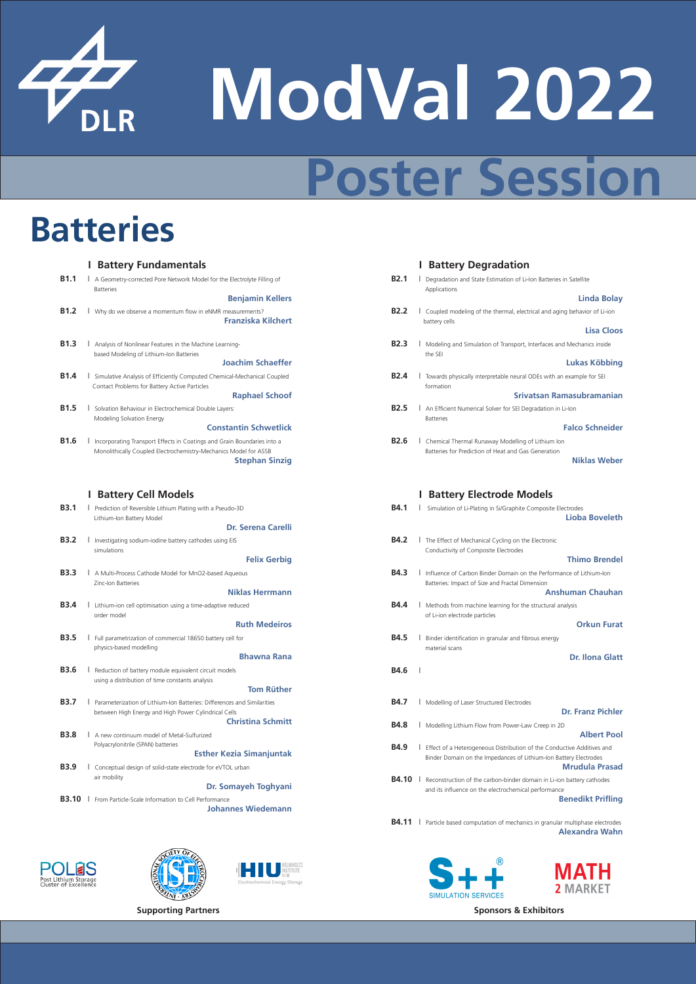

# **Poster Session**

**Supporting Partners Sponsors & Exhibitors**



**B1.1** I A Geometry-corrected Pore Network Model for the Electrolyte Filling of **Batteries** 

**B2.1** I Degradation and State Estimation of Li-Ion Batteries in Satellite Applications

#### **Benjamin Kellers**

**B2.2** I Coupled modeling of the thermal, electrical and aging behavior of Li-ion battery cells

**Linda Bolay**

**B2.3** I Modeling and Simulation of Transport, Interfaces and Mechanics inside the SEI

- **B1.2** I Why do we observe a momentum flow in eNMR measurements? **Franziska Kilchert**
- **B1.3** I Analysis of Nonlinear Features in the Machine Learning based Modeling of Lithium-Ion Batteries **Joachim Schaeffer**
- **B1.4 I** Simulative Analysis of Efficiently Computed Chemical-Mechanical Coupled Contact Problems for Battery Active Particles

**B2.4** I Towards physically interpretable neural ODEs with an example for SEI formation

#### **Lisa Cloos**

**B1.5** I Solvation Behaviour in Electrochemical Double Layers: Modeling Solvation Energy

**B2.5** I An Efficient Numerical Solver for SEI Degradation in Li-Ion Batteries

**B1.6** I Incorporating Transport Effects in Coatings and Grain Boundaries into a Monolithically Coupled Electrochemistry-Mechanics Model for ASSB **Stephan Sinzig**

# **Lukas Köbbing**

**B2.6 I** Chemical Thermal Runaway Modelling of Lithium Ion Batteries for Prediction of Heat and Gas Generation **Niklas Weber**

**B3.1** I Prediction of Reversible Lithium Plating with a Pseudo-3D Lithium-Ion Battery Model

**B4.1** I Simulation of Li-Plating in Si/Graphite Composite Electrodes **Lioba Boveleth**

**Raphael Schoof**

**B3.2** I Investigating sodium-iodine battery cathodes using EIS simulations

**B4.2** I The Effect of Mechanical Cycling on the Electronic Conductivity of Composite Electrodes

### **Srivatsan Ramasubramanian**

**B3.3** I A Multi-Process Cathode Model for MnO2-based Aqueous Zinc-Ion Batteries

#### **Constantin Schwetlick**

**B3.4 I** Lithium-ion cell optimisation using a time-adaptive reduced order model

- **B4.3** I Influence of Carbon Binder Domain on the Performance of Lithium-Ion Batteries: Impact of Size and Fractal Dimension **Anshuman Chauhan**
- **B4.4** I Methods from machine learning for the structural analysis of Li-ion electrode particles

### **Falco Schneider**

**B3.5** I Full parametrization of commercial 18650 battery cell for physics-based modelling

**B4.5** I Binder identification in granular and fibrous energy material scans

**B3.6 I** Reduction of battery module equivalent circuit models using a distribution of time constants analysis

## **I Battery Cell Models I Battery Electrode Models**

- **B3.7 I** Parameterization of Lithium-Ion Batteries: Differences and Similarities between High Energy and High Power Cylindrical Cells **Christina Schmitt**
- Polyacrylonitrile (SPAN) batteries

#### **Dr. Serena Carelli**

#### **Felix Gerbig**

**B4.11** I Particle based computation of mechanics in granular multiphase electrodes **Alexandra Wahn**

LES Post Lithium Storage<br>Cluster of Excellence







#### **Thimo Brendel**

#### **Niklas Herrmann**

#### **Ruth Medeiros**

#### **Orkun Furat**

#### **Bhawna Rana**

#### **Dr. Ilona Glatt**

#### **Tom Rüther**

#### **B4.6** I

**B4.7** I Modelling of Laser Structured Electrodes

#### **Dr. Franz Pichler**

- **B4.8** I Modelling Lithium Flow from Power-Law Creep in 2D **B3.8** I A new continuum model of Metal-Sulfurized **Albert Pool**
- **B4.9 I** Effect of a Heterogeneous Distribution of the Conductive Additives and Binder Domain on the Impedances of Lithium-Ion Battery Electrodes **B3.9** I Conceptual design of solid-state electrode for eVTOL urban
	- **B4.10** I Reconstruction of the carbon-binder domain in Li-ion battery cathodes

**B3.10** I From Particle-Scale Information to Cell Performance **Benedikt Prifling** 

#### **Esther Kezia Simanjuntak**

air mobility

#### **Dr. Somayeh Toghyani**

and its influence on the electrochemical performance

**Johannes Wiedemann**